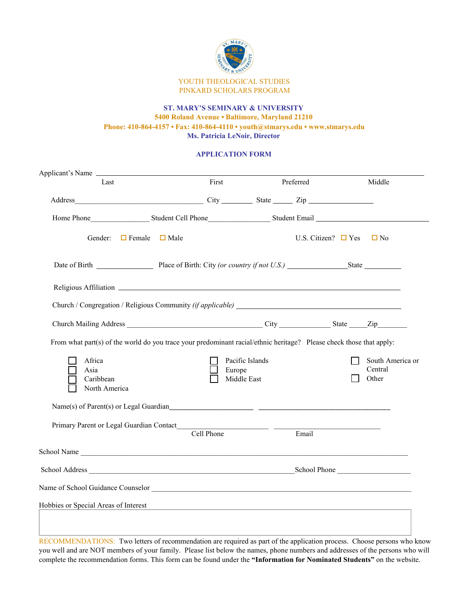

## **ST. MARY'S SEMINARY & UNIVERSITY 5400 Roland Avenue • Baltimore, Maryland 21210 Phone: 410-864-4157 • Fax: 410-864-4110 • youth@stmarys.edu • www.stmarys.edu Ms. Patricia LeNoir, Director**

## **APPLICATION FORM**

| Applicant's Name                                                                                                    |                              |            |                                                             |           |                          |                                      |
|---------------------------------------------------------------------------------------------------------------------|------------------------------|------------|-------------------------------------------------------------|-----------|--------------------------|--------------------------------------|
| Last                                                                                                                |                              | First      |                                                             | Preferred |                          | Middle                               |
|                                                                                                                     |                              |            |                                                             |           |                          |                                      |
|                                                                                                                     |                              |            |                                                             |           |                          |                                      |
| Gender:                                                                                                             | $\Box$ Female<br>$\Box$ Male |            |                                                             |           | U.S. Citizen? $\Box$ Yes | $\Box$ No                            |
|                                                                                                                     |                              |            |                                                             |           |                          |                                      |
|                                                                                                                     |                              |            |                                                             |           |                          |                                      |
|                                                                                                                     |                              |            |                                                             |           |                          |                                      |
|                                                                                                                     |                              |            |                                                             |           |                          |                                      |
| From what part(s) of the world do you trace your predominant racial/ethnic heritage? Please check those that apply: |                              |            |                                                             |           |                          |                                      |
| Africa<br>Asia<br>Caribbean<br>North America                                                                        |                              | Europe     | Pacific Islands<br>Middle East                              |           |                          | South America or<br>Central<br>Other |
|                                                                                                                     |                              |            |                                                             |           |                          |                                      |
|                                                                                                                     |                              |            |                                                             |           |                          |                                      |
|                                                                                                                     |                              | Cell Phone |                                                             | Email     |                          |                                      |
| School Name                                                                                                         |                              |            |                                                             |           |                          |                                      |
|                                                                                                                     |                              |            |                                                             |           |                          |                                      |
|                                                                                                                     |                              |            |                                                             |           |                          |                                      |
| Hobbies or Special Areas of Interest                                                                                |                              |            | <u> 1989 - Johann Barbara, martxa al III-lea (h. 1989).</u> |           |                          |                                      |
|                                                                                                                     |                              |            |                                                             |           |                          |                                      |
| PFGO1BFTP1F1P1FTO1G F11.0                                                                                           |                              |            |                                                             |           |                          |                                      |

RECOMMENDATIONS: Two letters of recommendation are required as part of the application process. Choose persons who know you well and are NOT members of your family. Please list below the names, phone numbers and addresses of the persons who will complete the recommendation forms. This form can be found under the **"Information for Nominated Students"** on the website.